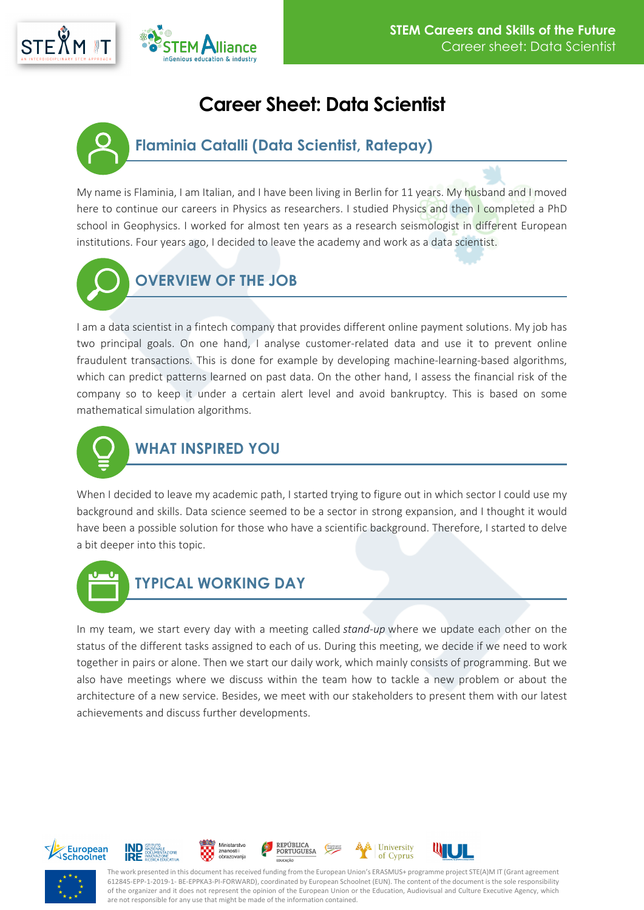



## **Career Sheet: Data Scientist**

## **Flaminia Catalli (Data Scientist, Ratepay)**

My name is Flaminia, I am Italian, and I have been living in Berlin for 11 years. My husband and I moved here to continue our careers in Physics as researchers. I studied Physics and then I completed a PhD school in Geophysics. I worked for almost ten years as a research seismologist in different European institutions. Four years ago, I decided to leave the academy and work as a data scientist.



## **OVERVIEW OF THE JOB**

I am a data scientist in a fintech company that provides different online payment solutions. My job has two principal goals. On one hand, I analyse customer-related data and use it to prevent online fraudulent transactions. This is done for example by developing machine-learning-based algorithms, which can predict patterns learned on past data. On the other hand, I assess the financial risk of the company so to keep it under a certain alert level and avoid bankruptcy. This is based on some mathematical simulation algorithms.



When I decided to leave my academic path, I started trying to figure out in which sector I could use my background and skills. Data science seemed to be a sector in strong expansion, and I thought it would have been a possible solution for those who have a scientific background. Therefore, I started to delve a bit deeper into this topic.



In my team, we start every day with a meeting called *stand-up* where we update each other on the status of the different tasks assigned to each of us. During this meeting, we decide if we need to work together in pairs or alone. Then we start our daily work, which mainly consists of programming. But we also have meetings where we discuss within the team how to tackle a new problem or about the architecture of a new service. Besides, we meet with our stakeholders to present them with our latest achievements and discuss further developments.





**IRE** 







The work presented in this document has received funding from the European Union's ERASMUS+ programme project STE(A)M IT (Grant agreement 612845-EPP-1-2019-1- BE-EPPKA3-PI-FORWARD), coordinated by European Schoolnet (EUN). The content of the document is the sole responsibility of the organizer and it does not represent the opinion of the European Union or the Education, Audiovisual and Culture Executive Agency, which are not responsible for any use that might be made of the information contained.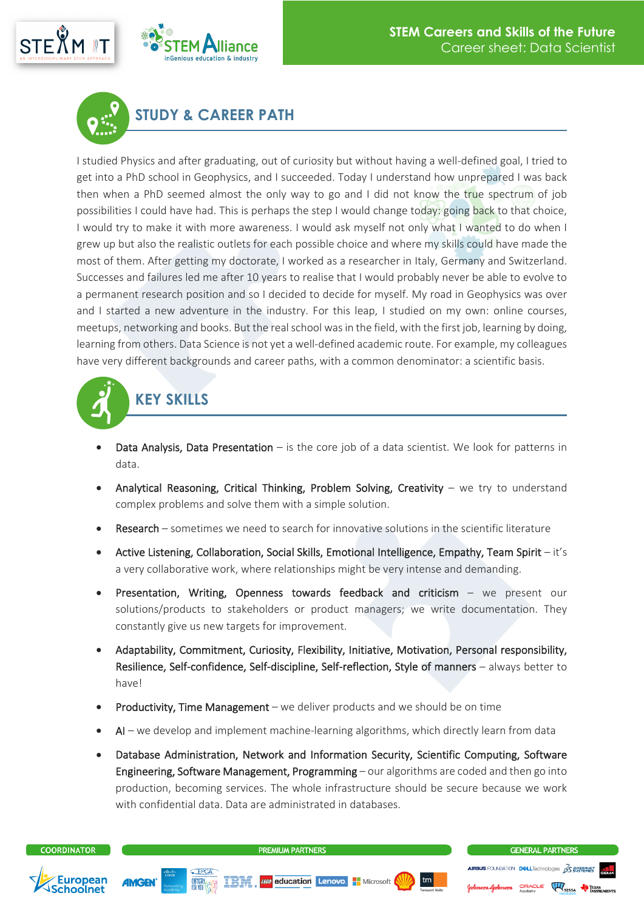





## **STUDY & CAREER PATH**

I studied Physics and after graduating, out of curiosity but without having a well-defined goal, I tried to get into a PhD school in Geophysics, and I succeeded. Today I understand how unprepared I was back then when a PhD seemed almost the only way to go and I did not know the true spectrum of job possibilities I could have had. This is perhaps the step I would change today: going back to that choice, I would try to make it with more awareness. I would ask myself not only what I wanted to do when I grew up but also the realistic outlets for each possible choice and where my skills could have made the most of them. After getting my doctorate, I worked as a researcher in Italy, Germany and Switzerland. Successes and failures led me after 10 years to realise that I would probably never be able to evolve to a permanent research position and so I decided to decide for myself. My road in Geophysics was over and I started a new adventure in the industry. For this leap, I studied on my own: online courses, meetups, networking and books. But the real school was in the field, with the first job, learning by doing, learning from others. Data Science is not yet a well-defined academic route. For example, my colleagues have very different backgrounds and career paths, with a common denominator: a scientific basis.



- Data Analysis, Data Presentation is the core job of a data scientist. We look for patterns in data.
- Analytical Reasoning, Critical Thinking, Problem Solving, Creativity we try to understand complex problems and solve them with a simple solution.
- Research sometimes we need to search for innovative solutions in the scientific literature
- Active Listening, Collaboration, Social Skills, Emotional Intelligence, Empathy, Team Spirit it's a very collaborative work, where relationships might be very intense and demanding.
- Presentation, Writing, Openness towards feedback and criticism we present our solutions/products to stakeholders or product managers; we write documentation. They constantly give us new targets for improvement.
- Adaptability, Commitment, Curiosity, Flexibility, Initiative, Motivation, Personal responsibility, Resilience, Self-confidence, Self-discipline, Self-reflection, Style of manners – always better to have!
- Productivity, Time Management we deliver products and we should be on time
- AI we develop and implement machine-learning algorithms, which directly learn from data
- Database Administration, Network and Information Security, Scientific Computing, Software Engineering, Software Management, Programming – our algorithms are coded and then go into production, becoming services. The whole infrastructure should be secure because we work with confidential data. Data are administrated in databases.